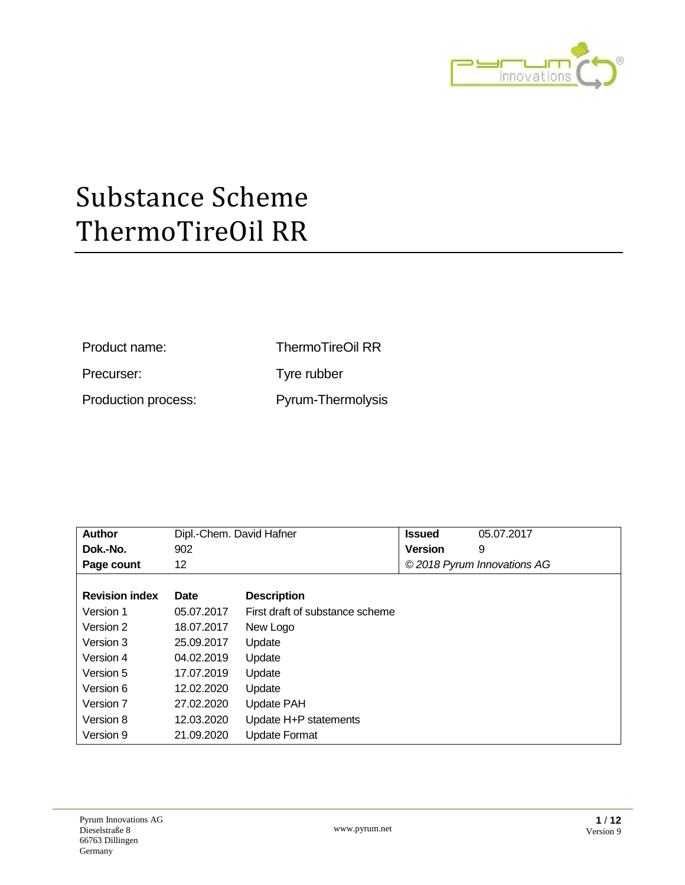

Product name: ThermoTireOil RR

Precurser: Tyre rubber

Production process: Pyrum-Thermolysis

| <b>Author</b>         | Dipl.-Chem. David Hafner |                                 | <b>Issued</b>  | 05.07.2017                  |
|-----------------------|--------------------------|---------------------------------|----------------|-----------------------------|
| Dok.-No.              | 902                      |                                 | <b>Version</b> | 9                           |
| Page count            | 12                       |                                 |                | © 2018 Pyrum Innovations AG |
|                       |                          |                                 |                |                             |
| <b>Revision index</b> | <b>Date</b>              | <b>Description</b>              |                |                             |
| Version 1             | 05.07.2017               | First draft of substance scheme |                |                             |
| Version 2             | 18.07.2017               | New Logo                        |                |                             |
| Version 3             | 25.09.2017               | Update                          |                |                             |
| Version 4             | 04.02.2019               | Update                          |                |                             |
| Version 5             | 17.07.2019               | Update                          |                |                             |
| Version 6             | 12.02.2020               | Update                          |                |                             |
| Version 7             | 27.02.2020               | Update PAH                      |                |                             |
| Version 8             | 12.03.2020               | Update H+P statements           |                |                             |
| Version 9             | 21.09.2020               | <b>Update Format</b>            |                |                             |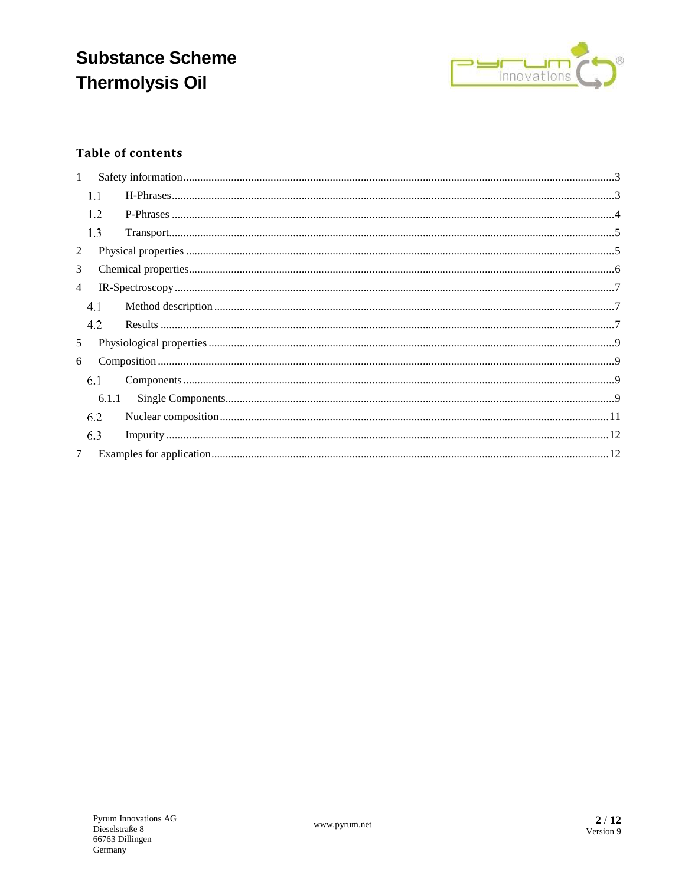## **Substance Scheme Thermolysis Oil**



### **Table of contents**

| $\mathbf{1}$   |       |  |
|----------------|-------|--|
|                | 1.1   |  |
|                | 1.2   |  |
|                | 1.3   |  |
| 2              |       |  |
| 3              |       |  |
| $\overline{4}$ |       |  |
|                | 4.1   |  |
|                | 4.2   |  |
| 5              |       |  |
| 6              |       |  |
|                | 6.1   |  |
|                | 6.1.1 |  |
|                | 6.2   |  |
|                | 6.3   |  |
| $\tau$         |       |  |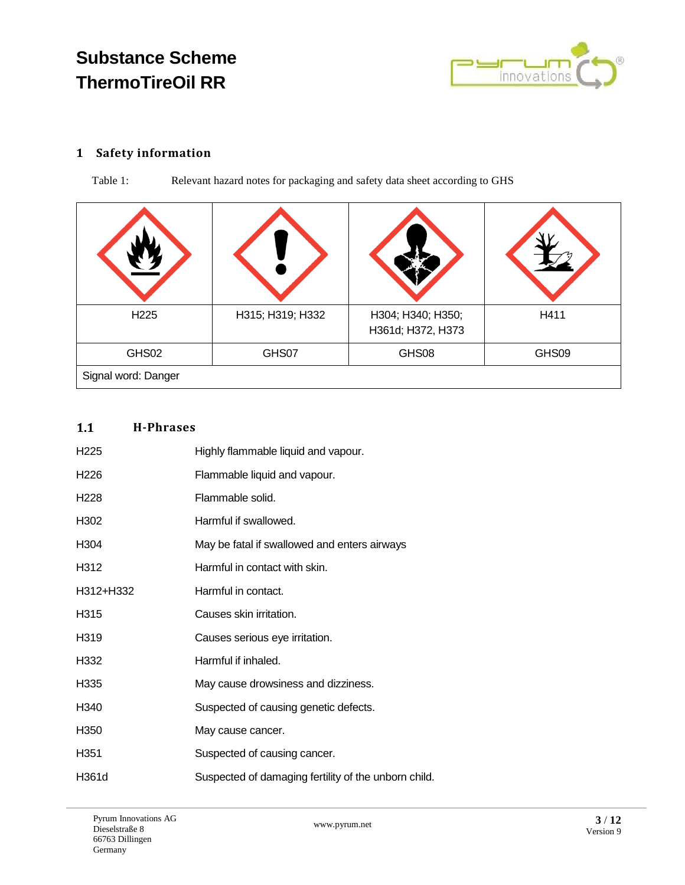

### <span id="page-2-0"></span>**1 Safety information**

Table 1: Relevant hazard notes for packaging and safety data sheet according to GHS

| H <sub>225</sub>    | H315; H319; H332 | H304; H340; H350;<br>H361d; H372, H373 | H411  |
|---------------------|------------------|----------------------------------------|-------|
| GHS02               | GHS07            | GHS08                                  | GHS09 |
| Signal word: Danger |                  |                                        |       |

#### <span id="page-2-1"></span> $1.1$ **H-Phrases**

| H <sub>225</sub> | Highly flammable liquid and vapour.                  |
|------------------|------------------------------------------------------|
| H <sub>226</sub> | Flammable liquid and vapour.                         |
| H <sub>228</sub> | Flammable solid.                                     |
| H302             | Harmful if swallowed.                                |
| H <sub>304</sub> | May be fatal if swallowed and enters airways         |
| H312             | Harmful in contact with skin.                        |
| H312+H332        | Harmful in contact.                                  |
| H315             | Causes skin irritation.                              |
| H319             | Causes serious eye irritation.                       |
| H332             | Harmful if inhaled.                                  |
| H335             | May cause drowsiness and dizziness.                  |
| H340             | Suspected of causing genetic defects.                |
| H350             | May cause cancer.                                    |
| H <sub>351</sub> | Suspected of causing cancer.                         |
| H361d            | Suspected of damaging fertility of the unborn child. |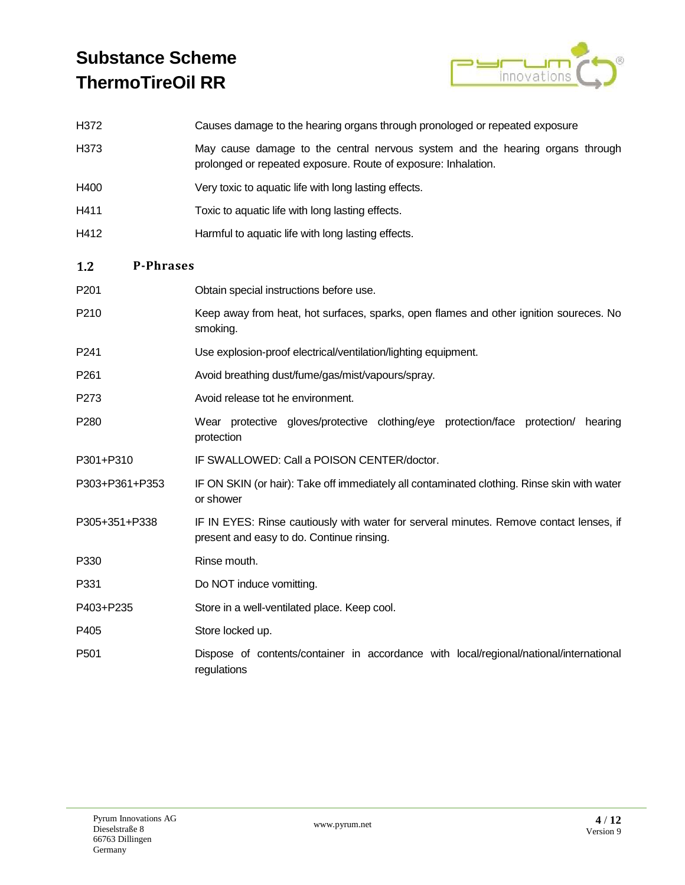

<span id="page-3-0"></span>

| H372                    | Causes damage to the hearing organs through pronologed or repeated exposure                                                                     |  |
|-------------------------|-------------------------------------------------------------------------------------------------------------------------------------------------|--|
| H373                    | May cause damage to the central nervous system and the hearing organs through<br>prolonged or repeated exposure. Route of exposure: Inhalation. |  |
| H400                    | Very toxic to aquatic life with long lasting effects.                                                                                           |  |
| H411                    | Toxic to aquatic life with long lasting effects.                                                                                                |  |
| H412                    | Harmful to aquatic life with long lasting effects.                                                                                              |  |
| 1.2<br><b>P-Phrases</b> |                                                                                                                                                 |  |
| P <sub>201</sub>        | Obtain special instructions before use.                                                                                                         |  |
| P210                    | Keep away from heat, hot surfaces, sparks, open flames and other ignition soureces. No<br>smoking.                                              |  |
| P241                    | Use explosion-proof electrical/ventilation/lighting equipment.                                                                                  |  |
| P <sub>261</sub>        | Avoid breathing dust/fume/gas/mist/vapours/spray.                                                                                               |  |
| P273                    | Avoid release tot he environment.                                                                                                               |  |
| P280                    | Wear protective gloves/protective clothing/eye protection/face protection/ hearing<br>protection                                                |  |
| P301+P310               | IF SWALLOWED: Call a POISON CENTER/doctor.                                                                                                      |  |
| P303+P361+P353          | IF ON SKIN (or hair): Take off immediately all contaminated clothing. Rinse skin with water<br>or shower                                        |  |
| P305+351+P338           | IF IN EYES: Rinse cautiously with water for serveral minutes. Remove contact lenses, if<br>present and easy to do. Continue rinsing.            |  |
| P330                    | Rinse mouth.                                                                                                                                    |  |
| P331                    | Do NOT induce vomitting.                                                                                                                        |  |
| P403+P235               | Store in a well-ventilated place. Keep cool.                                                                                                    |  |
| P405                    | Store locked up.                                                                                                                                |  |
| P <sub>501</sub>        | Dispose of contents/container in accordance with local/regional/national/international<br>regulations                                           |  |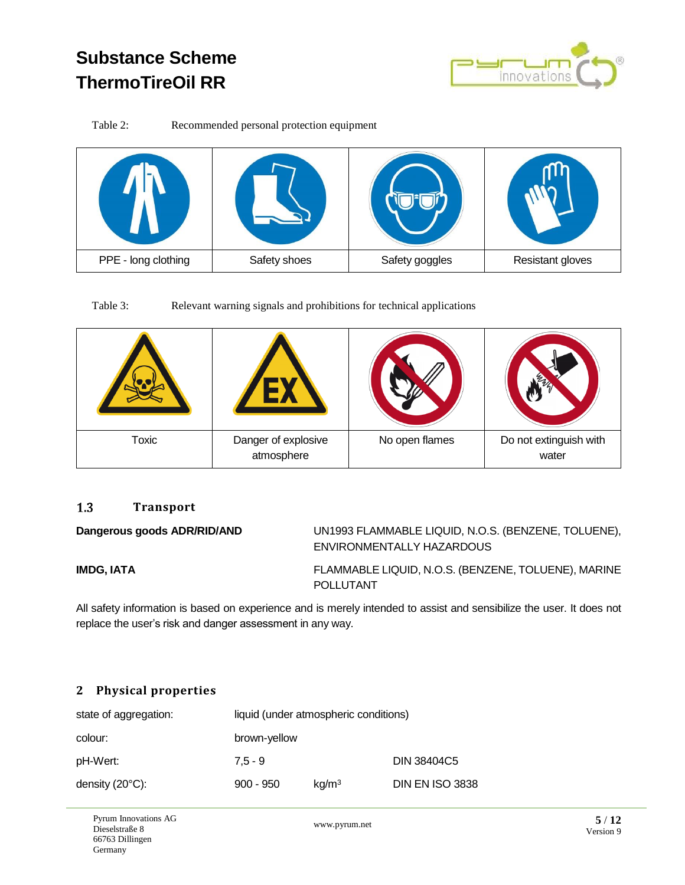

Table 2: Recommended personal protection equipment



Table 3: Relevant warning signals and prohibitions for technical applications

| Toxic | Danger of explosive<br>atmosphere | No open flames | Do not extinguish with<br>water |
|-------|-----------------------------------|----------------|---------------------------------|

#### <span id="page-4-0"></span> $1.3$ **Transport**

**Dangerous goods ADR/RID/AND** UN1993 FLAMMABLE LIQUID, N.O.S. (BENZENE, TOLUENE), ENVIRONMENTALLY HAZARDOUS

**IMDG, IATA** FLAMMABLE LIQUID, N.O.S. (BENZENE, TOLUENE), MARINE POLLUTANT

All safety information is based on experience and is merely intended to assist and sensibilize the user. It does not replace the user's risk and danger assessment in any way.

### <span id="page-4-1"></span>**2 Physical properties**

| state of aggregation:     |              | liquid (under atmospheric conditions) |                        |
|---------------------------|--------------|---------------------------------------|------------------------|
| colour:                   | brown-yellow |                                       |                        |
| pH-Wert:                  | $7.5 - 9$    |                                       | DIN 38404C5            |
| density $(20^{\circ}C)$ : | $900 - 950$  | kg/m <sup>3</sup>                     | <b>DIN EN ISO 3838</b> |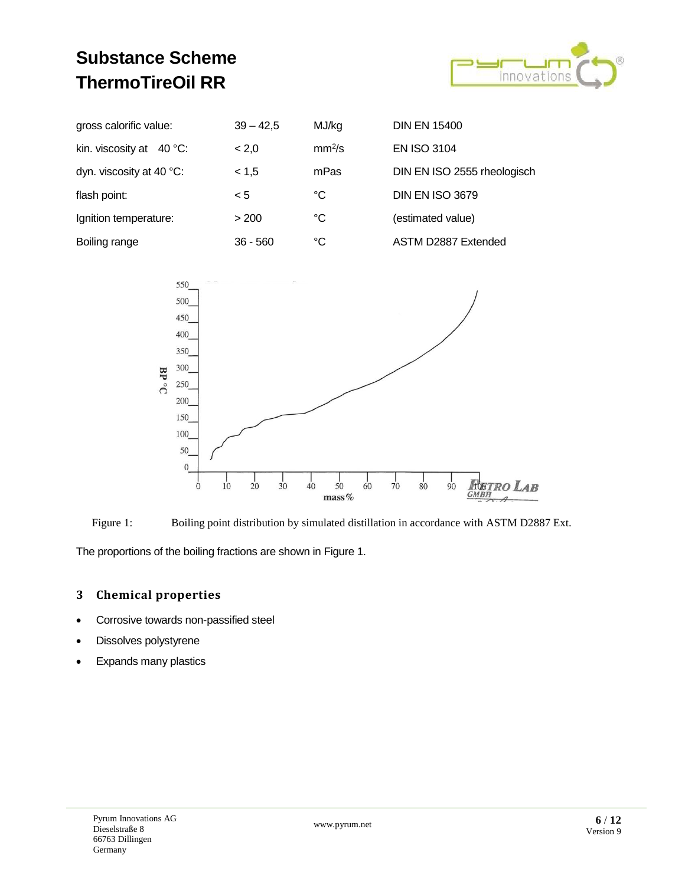

| gross calorific value:            | $39 - 42,5$ | MJ/kg              | <b>DIN EN 15400</b>         |
|-----------------------------------|-------------|--------------------|-----------------------------|
| kin. viscosity at $40^{\circ}$ C: | < 2,0       | mm <sup>2</sup> /s | <b>EN ISO 3104</b>          |
| dyn. viscosity at 40 °C:          | < 1.5       | mPas               | DIN EN ISO 2555 rheologisch |
| flash point:                      | < 5         | °C                 | <b>DIN EN ISO 3679</b>      |
| Ignition temperature:             | > 200       | °C                 | (estimated value)           |
| Boiling range                     | $36 - 560$  | °C                 | ASTM D2887 Extended         |



<span id="page-5-1"></span>

<span id="page-5-0"></span>The proportions of the boiling fractions are shown in [Figure 1.](#page-5-1)

### **3 Chemical properties**

- Corrosive towards non-passified steel
- Dissolves polystyrene
- Expands many plastics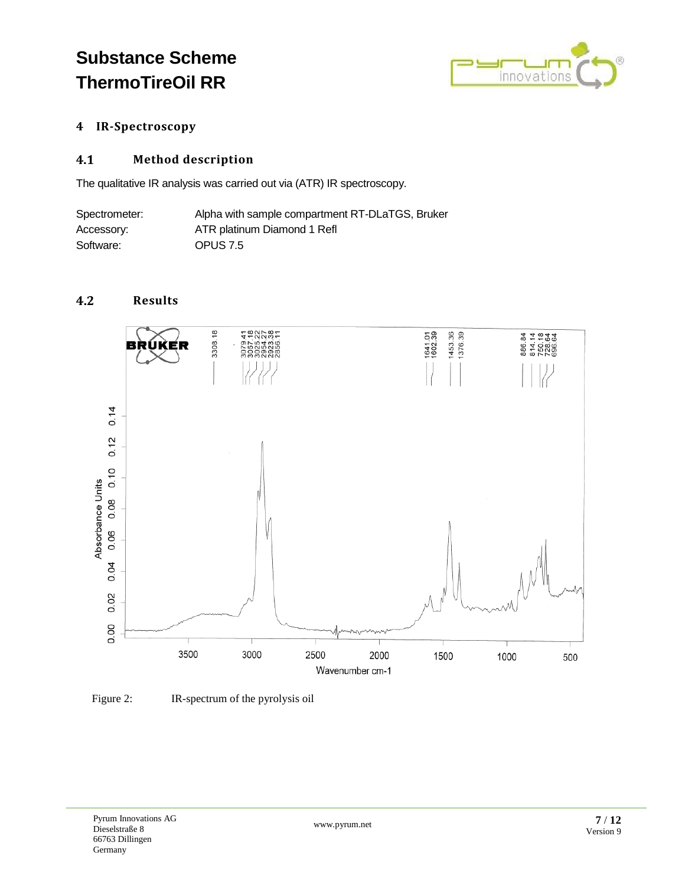

### <span id="page-6-0"></span>**4 IR-Spectroscopy**

#### <span id="page-6-1"></span>**Method description**  $4.1$

The qualitative IR analysis was carried out via (ATR) IR spectroscopy.

| Spectrometer: | Alpha with sample compartment RT-DLaTGS, Bruker |
|---------------|-------------------------------------------------|
| Accessory:    | ATR platinum Diamond 1 Refl                     |
| Software:     | OPUS 7.5                                        |

#### <span id="page-6-2"></span> $4.2$ **Results**



Figure 2: IR-spectrum of the pyrolysis oil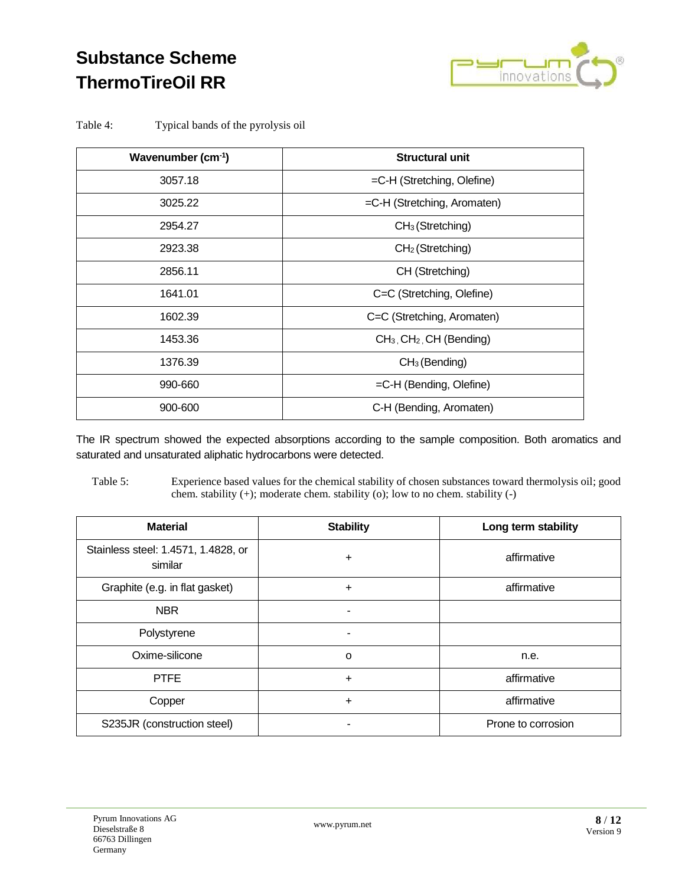

Table 4: Typical bands of the pyrolysis oil

| Wavenumber $(cm-1)$ | <b>Structural unit</b>                 |
|---------------------|----------------------------------------|
| 3057.18             | =C-H (Stretching, Olefine)             |
| 3025.22             | $=$ C-H (Stretching, Aromaten)         |
| 2954.27             | $CH3$ (Stretching)                     |
| 2923.38             | $CH2$ (Stretching)                     |
| 2856.11             | CH (Stretching)                        |
| 1641.01             | C=C (Stretching, Olefine)              |
| 1602.39             | C=C (Stretching, Aromaten)             |
| 1453.36             | $CH3$ , CH <sub>2</sub> , CH (Bending) |
| 1376.39             | CH <sub>3</sub> (Bending)              |
| 990-660             | $=$ C-H (Bending, Olefine)             |
| 900-600             | C-H (Bending, Aromaten)                |

The IR spectrum showed the expected absorptions according to the sample composition. Both aromatics and saturated and unsaturated aliphatic hydrocarbons were detected.

Table 5: Experience based values for the chemical stability of chosen substances toward thermolysis oil; good chem. stability (+); moderate chem. stability (o); low to no chem. stability (-)

| <b>Material</b>                                | <b>Stability</b> | Long term stability |
|------------------------------------------------|------------------|---------------------|
| Stainless steel: 1.4571, 1.4828, or<br>similar | ÷                | affirmative         |
| Graphite (e.g. in flat gasket)                 | $\ddot{}$        | affirmative         |
| <b>NBR</b>                                     | ۰                |                     |
| Polystyrene                                    |                  |                     |
| Oxime-silicone                                 | $\circ$          | n.e.                |
| <b>PTFE</b>                                    | $\ddot{}$        | affirmative         |
| Copper                                         | $\ddot{}$        | affirmative         |
| S235JR (construction steel)                    |                  | Prone to corrosion  |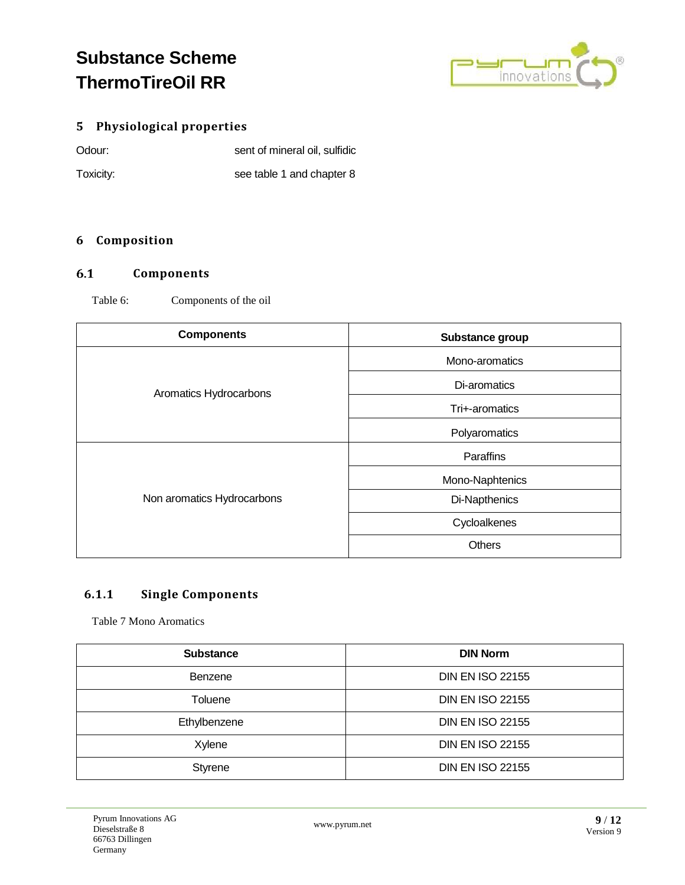

### <span id="page-8-0"></span>**5 Physiological properties**

| Odour:    | sent of mineral oil, sulfidic |
|-----------|-------------------------------|
| Toxicity: | see table 1 and chapter 8     |

### <span id="page-8-1"></span>**6 Composition**

#### <span id="page-8-2"></span> $6.1$ **Components**

Table 6: Components of the oil

| <b>Components</b>          | Substance group |
|----------------------------|-----------------|
| Aromatics Hydrocarbons     | Mono-aromatics  |
|                            | Di-aromatics    |
|                            | Tri+-aromatics  |
|                            | Polyaromatics   |
| Non aromatics Hydrocarbons | Paraffins       |
|                            | Mono-Naphtenics |
|                            | Di-Napthenics   |
|                            | Cycloalkenes    |
|                            | <b>Others</b>   |

### <span id="page-8-3"></span>**6.1.1 Single Components**

Table 7 Mono Aromatics

| <b>Substance</b> | <b>DIN Norm</b>         |
|------------------|-------------------------|
| Benzene          | <b>DIN EN ISO 22155</b> |
| Toluene          | <b>DIN EN ISO 22155</b> |
| Ethylbenzene     | <b>DIN EN ISO 22155</b> |
| Xylene           | <b>DIN EN ISO 22155</b> |
| Styrene          | <b>DIN EN ISO 22155</b> |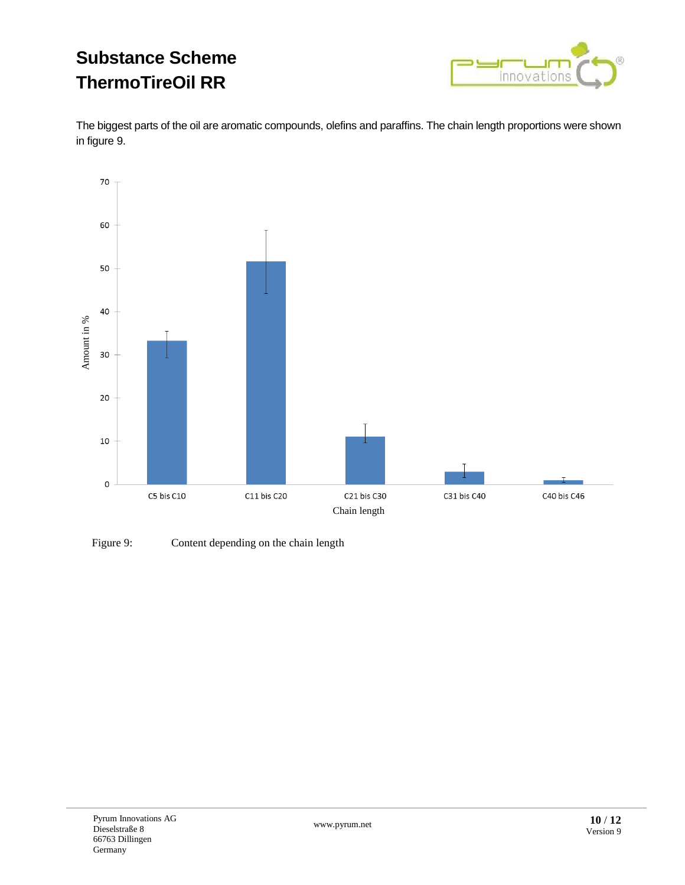

The biggest parts of the oil are aromatic compounds, olefins and paraffins. The chain length proportions were shown in figure 9.



Figure 9: Content depending on the chain length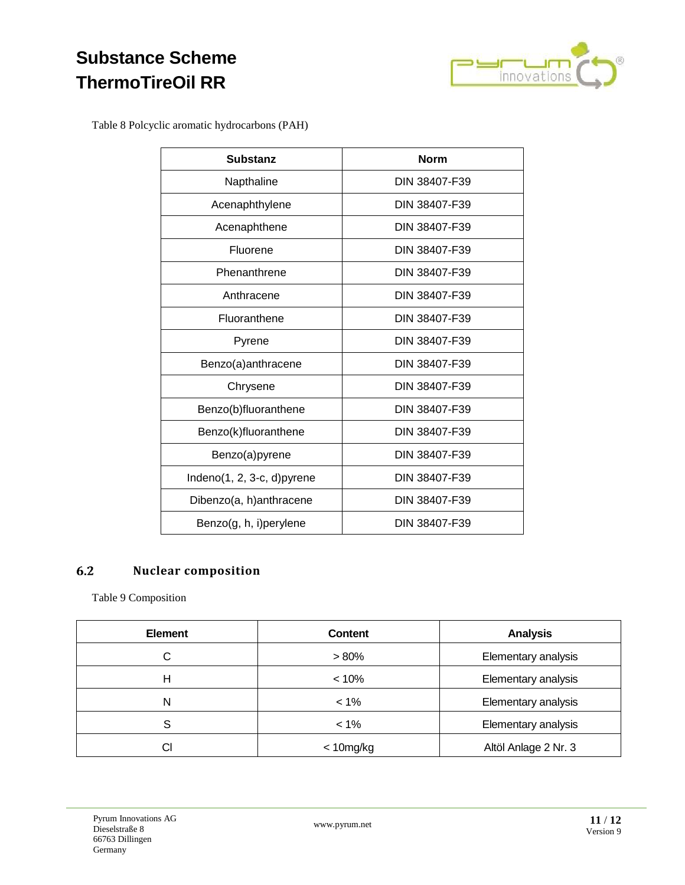

Table 8 Polcyclic aromatic hydrocarbons (PAH)

| <b>Substanz</b>                | <b>Norm</b>   |
|--------------------------------|---------------|
| Napthaline                     | DIN 38407-F39 |
| Acenaphthylene                 | DIN 38407-F39 |
| Acenaphthene                   | DIN 38407-F39 |
| Fluorene                       | DIN 38407-F39 |
| Phenanthrene                   | DIN 38407-F39 |
| Anthracene                     | DIN 38407-F39 |
| Fluoranthene                   | DIN 38407-F39 |
| Pyrene                         | DIN 38407-F39 |
| Benzo(a)anthracene             | DIN 38407-F39 |
| Chrysene                       | DIN 38407-F39 |
| Benzo(b)fluoranthene           | DIN 38407-F39 |
| Benzo(k)fluoranthene           | DIN 38407-F39 |
| Benzo(a)pyrene                 | DIN 38407-F39 |
| Indeno $(1, 2, 3-c, d)$ pyrene | DIN 38407-F39 |
| Dibenzo(a, h)anthracene        | DIN 38407-F39 |
| Benzo(g, h, i)perylene         | DIN 38407-F39 |

#### <span id="page-10-0"></span>**Nuclear composition**  $6.2$

Table 9 Composition

| <b>Element</b> | <b>Content</b> | <b>Analysis</b>      |
|----------------|----------------|----------------------|
| С              | $> 80\%$       | Elementary analysis  |
| Н              | < 10%          | Elementary analysis  |
| Ν              | $< 1\%$        | Elementary analysis  |
| S              | $< 1\%$        | Elementary analysis  |
| CI             | $<$ 10mg/kg    | Altöl Anlage 2 Nr. 3 |